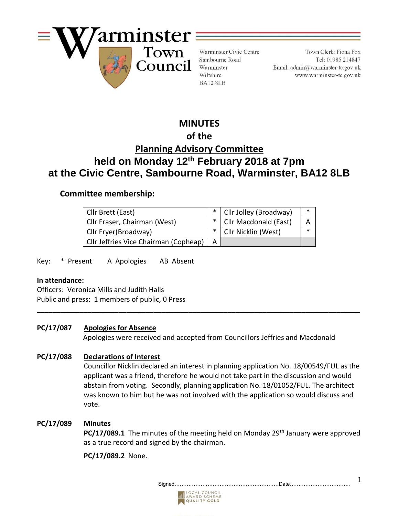

Warminster Civic Centre Sambourne Road Warminster Wiltshire BA12 8LB

Town Clerk: Fiona Fox Tel: 01985 214847 Email:  $\text{admin@warminster-to.gov.uk}$ www.warminster-tc.gov.uk

# **MINUTES**

# **of the**

# **Planning Advisory Committee held on Monday 12th February 2018 at 7pm at the Civic Centre, Sambourne Road, Warminster, BA12 8LB**

## **Committee membership:**

| Cllr Brett (East)                     | *   Cllr Jolley (Broadway) |  |
|---------------------------------------|----------------------------|--|
| Cllr Fraser, Chairman (West)          | *   Cllr Macdonald (East)  |  |
| Cllr Fryer(Broadway)                  | Cllr Nicklin (West)        |  |
| Cllr Jeffries Vice Chairman (Copheap) |                            |  |

**\_\_\_\_\_\_\_\_\_\_\_\_\_\_\_\_\_\_\_\_\_\_\_\_\_\_\_\_\_\_\_\_\_\_\_\_\_\_\_\_\_\_\_\_\_\_\_\_\_\_\_\_\_\_\_\_\_\_\_\_\_\_\_\_\_\_\_\_\_\_\_\_\_\_\_\_\_\_\_\_\_\_\_**

Key: \* Present A Apologies AB Absent

#### **In attendance:**

Officers:Veronica Mills and Judith Halls Public and press: 1 members of public, 0 Press

## **PC/17/087 Apologies for Absence**

Apologies were received and accepted from Councillors Jeffries and Macdonald

## **PC/17/088 Declarations of Interest**

Councillor Nicklin declared an interest in planning application No. 18/00549/FUL as the applicant was a friend, therefore he would not take part in the discussion and would abstain from voting. Secondly, planning application No. 18/01052/FUL. The architect was known to him but he was not involved with the application so would discuss and vote.

## **PC/17/089 Minutes**

**PC/17/089.1** The minutes of the meeting held on Monday 29<sup>th</sup> January were approved as a true record and signed by the chairman.

**PC/17/089.2** None.

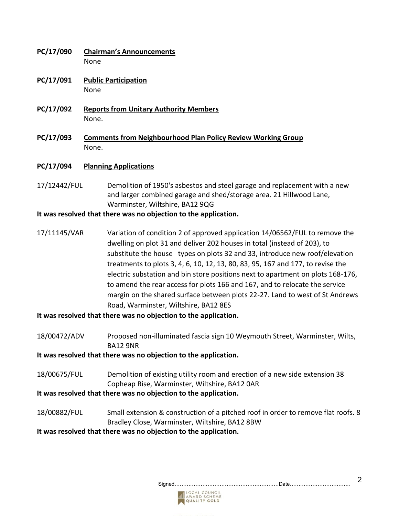- **PC/17/090 Chairman's Announcements** None
- **PC/17/091 Public Participation** None
- **PC/17/092 Reports from Unitary Authority Members** None.
- **PC/17/093 Comments from Neighbourhood Plan Policy Review Working Group** None.

#### **PC/17/094 Planning Applications**

17/12442/FUL Demolition of 1950's asbestos and steel garage and replacement with a new and larger combined garage and shed/storage area. 21 Hillwood Lane, Warminster, Wiltshire, BA12 9QG

#### **It was resolved that there was no objection to the application.**

 17/11145/VAR Variation of condition 2 of approved application 14/06562/FUL to remove the dwelling on plot 31 and deliver 202 houses in total (instead of 203), to substitute the house types on plots 32 and 33, introduce new roof/elevation treatments to plots 3, 4, 6, 10, 12, 13, 80, 83, 95, 167 and 177, to revise the electric substation and bin store positions next to apartment on plots 168-176, to amend the rear access for plots 166 and 167, and to relocate the service margin on the shared surface between plots 22-27. Land to west of St Andrews Road, Warminster, Wiltshire, BA12 8ES

**It was resolved that there was no objection to the application.**

18/00472/ADV Proposed non-illuminated fascia sign 10 Weymouth Street, Warminster, Wilts, BA12 9NR

**It was resolved that there was no objection to the application.**

18/00675/FUL Demolition of existing utility room and erection of a new side extension 38 Copheap Rise, Warminster, Wiltshire, BA12 0AR

**It was resolved that there was no objection to the application.**

18/00882/FUL Small extension & construction of a pitched roof in order to remove flat roofs. 8 Bradley Close, Warminster, Wiltshire, BA12 8BW

**It was resolved that there was no objection to the application.**

Signed……………………………………………………Date…………………………….. 2